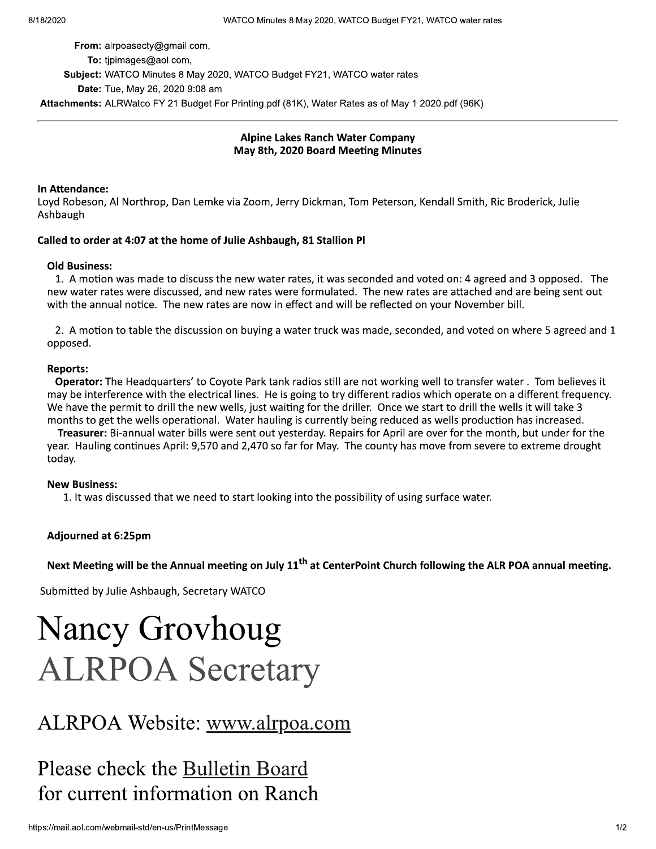From: alrpoasecty@gmail.com,

To: tipimages@aol.com,

Subject: WATCO Minutes 8 May 2020, WATCO Budget FY21, WATCO water rates

Date: Tue, May 26, 2020 9:08 am

Attachments: ALRWatco FY 21 Budget For Printing.pdf (81K), Water Rates as of May 1 2020.pdf (96K)

### **Alpine Lakes Ranch Water Company** May 8th, 2020 Board Meeting Minutes

### In Attendance:

Loyd Robeson, Al Northrop, Dan Lemke via Zoom, Jerry Dickman, Tom Peterson, Kendall Smith, Ric Broderick, Julie Ashbaugh

### Called to order at 4:07 at the home of Julie Ashbaugh, 81 Stallion Pl

### **Old Business:**

1. A motion was made to discuss the new water rates, it was seconded and voted on: 4 agreed and 3 opposed. The new water rates were discussed, and new rates were formulated. The new rates are attached and are being sent out with the annual notice. The new rates are now in effect and will be reflected on your November bill.

2. A motion to table the discussion on buying a water truck was made, seconded, and voted on where 5 agreed and 1 opposed.

### **Reports:**

Operator: The Headquarters' to Coyote Park tank radios still are not working well to transfer water. Tom believes it may be interference with the electrical lines. He is going to try different radios which operate on a different frequency. We have the permit to drill the new wells, just waiting for the driller. Once we start to drill the wells it will take 3 months to get the wells operational. Water hauling is currently being reduced as wells production has increased.

Treasurer: Bi-annual water bills were sent out yesterday. Repairs for April are over for the month, but under for the year. Hauling continues April: 9,570 and 2,470 so far for May. The county has move from severe to extreme drought todav.

### **New Business:**

1. It was discussed that we need to start looking into the possibility of using surface water.

### Adjourned at 6:25pm

Next Meeting will be the Annual meeting on July 11<sup>th</sup> at CenterPoint Church following the ALR POA annual meeting.

Submitted by Julie Ashbaugh, Secretary WATCO

# **Nancy Grovhoug ALRPOA Secretary**

## ALRPOA Website: www.alrpoa.com

## Please check the Bulletin Board for current information on Ranch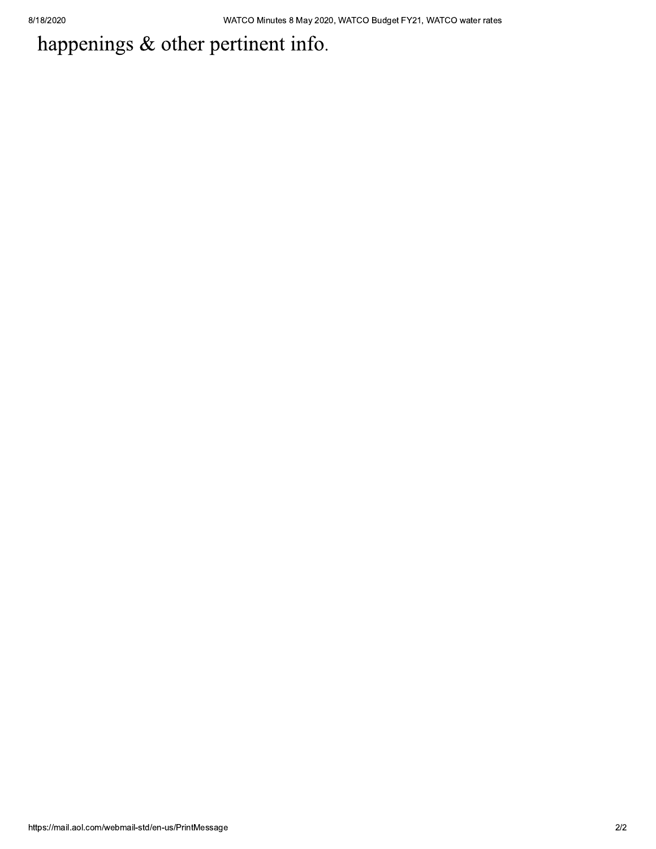# happenings & other pertinent info.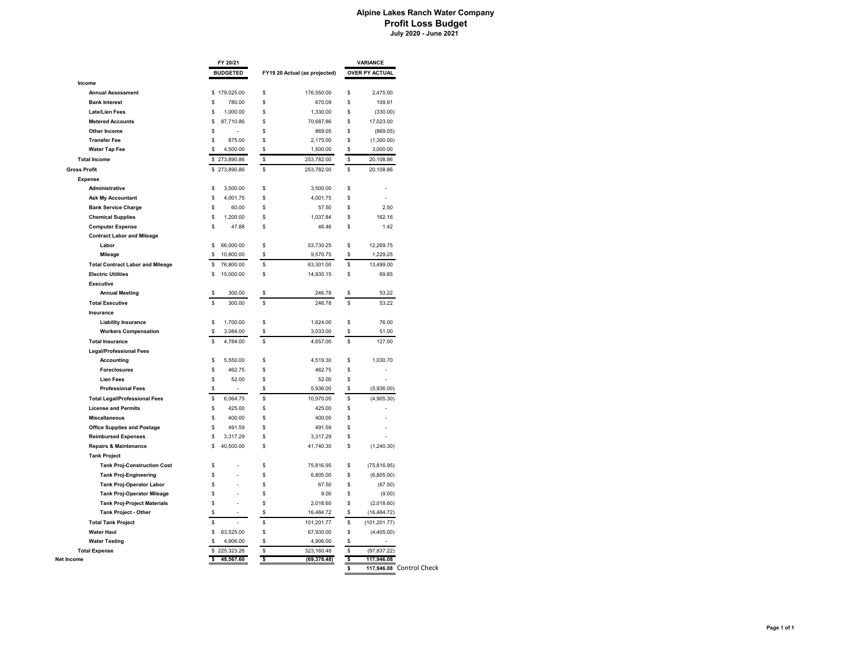#### **Alpine Lakes Ranch Water Company Profit Loss Budget July 2020 - June 2021**

|                                                              | FY 20/21        |                               | <b>VARIANCE</b>     |  |
|--------------------------------------------------------------|-----------------|-------------------------------|---------------------|--|
|                                                              | <b>BUDGETED</b> | FY19 20 Actual (as projected) | OVER PY ACTUAL      |  |
| Income                                                       |                 |                               |                     |  |
| <b>Annual Assessment</b>                                     | \$179,025.00    | \$<br>176,550.00              | \$<br>2,475.00      |  |
| <b>Bank Interest</b>                                         | \$              | Ŝ                             | \$                  |  |
|                                                              | 780.00          | 670.09                        | 109.91              |  |
| <b>Late/Lien Fees</b>                                        | \$              | \$                            | \$                  |  |
|                                                              | 1,000.00        | 1,330.00                      | (330.00)            |  |
| <b>Metered Accounts</b>                                      | \$              | Ŝ                             | \$                  |  |
|                                                              | 87,710.86       | 70,687.86                     | 17,023.00           |  |
| Other Income                                                 | \$              | \$<br>869.05                  | \$<br>(869.05)      |  |
| <b>Transfer Fee</b>                                          | \$              | \$                            | \$                  |  |
|                                                              | 875.00          | 2,175.00                      | (1,300.00)          |  |
| <b>Water Tap Fee</b>                                         | \$              | \$                            | \$                  |  |
|                                                              | 4,500.00        | 1,500.00                      | 3,000.00            |  |
| <b>Total Income</b>                                          | 273,890.86      | \$                            | \$                  |  |
|                                                              | \$              | 253,782.00                    | 20,108.86           |  |
| <b>Gross Profit</b>                                          | \$273,890.86    | s<br>253,782.00               | \$<br>20,108.86     |  |
| <b>Expense</b>                                               |                 |                               |                     |  |
| Administrative                                               | \$              | \$                            | \$                  |  |
|                                                              | 3,500.00        | 3,500.00                      | J.                  |  |
| <b>Ask My Accountant</b>                                     | \$              | \$                            | \$                  |  |
|                                                              | 4,001.75        | 4,001.75                      | l,                  |  |
| <b>Bank Service Charge</b>                                   | \$              | S                             | \$                  |  |
|                                                              | 60.00           | 57.50                         | 2.50                |  |
| <b>Chemical Supplies</b>                                     | \$              | \$                            | \$                  |  |
|                                                              | 1,200.00        | 1,037.84                      | 162.16              |  |
|                                                              | \$              | Ŝ                             | S                   |  |
|                                                              | 47.88           | 46.46                         | 1.42                |  |
| <b>Computer Expense</b><br><b>Contract Labor and Mileage</b> |                 |                               |                     |  |
| Labor                                                        | 66,000.00       | \$                            | 12,269.75           |  |
|                                                              | \$              | 53,730.25                     | \$                  |  |
| Mileage                                                      | \$              | \$                            | \$                  |  |
|                                                              | 10,800.00       | 9,570.75                      | 1,229.25            |  |
|                                                              |                 |                               |                     |  |
| <b>Total Contract Labor and Mileage</b>                      | 76,800.00       | \$                            | \$                  |  |
|                                                              | \$              | 63,301.00                     | 13,499.00           |  |
| <b>Electric Utilities</b>                                    | \$              | \$                            | \$                  |  |
|                                                              | 15,000.00       | 14,930.15                     | 69.85               |  |
| <b>Executive</b>                                             |                 |                               |                     |  |
| <b>Annual Meeting</b>                                        | \$              | 246.78                        | 53.22               |  |
|                                                              | 300.00          | s                             | \$                  |  |
| <b>Total Executive</b>                                       | \$              | Ŝ                             | \$                  |  |
|                                                              | 300.00          | 246.78                        | 53.22               |  |
| Insurance                                                    |                 |                               |                     |  |
| <b>Liability Insurance</b>                                   | \$              | \$                            | \$                  |  |
|                                                              | 1,700.00        | 1,624.00                      | 76.00               |  |
| <b>Workers Compensation</b>                                  | \$              | s                             | \$                  |  |
|                                                              | 3,084.00        | 3,033.00                      | 51.00               |  |
| <b>Total Insurance</b>                                       | \$              | S                             | \$                  |  |
|                                                              | 4,784.00        | 4,657.00                      | 127.00              |  |
| <b>Legal/Professional Fees</b>                               |                 |                               |                     |  |
| <b>Accounting</b>                                            | \$              | \$                            | \$                  |  |
|                                                              | 5,550.00        | 4,519.30                      | 1,030.70            |  |
| <b>Foreclosures</b>                                          | \$              | \$                            | \$                  |  |
|                                                              | 462.75          | 462.75                        | L                   |  |
| <b>Lien Fees</b>                                             | \$<br>52.00     | \$<br>52.00                   | \$                  |  |
| <b>Professional Fees</b>                                     | \$              | \$<br>5,936.00                | \$<br>(5,936.00)    |  |
| <b>Total Legal/Professional Fees</b>                         | \$              | \$                            | \$                  |  |
|                                                              | 6,064.75        | 10,970.05                     | (4,905.30)          |  |
| <b>License and Permits</b>                                   | \$<br>425.00    | \$<br>425.00                  | \$                  |  |
| <b>Miscellaneous</b>                                         | \$<br>400.00    | \$<br>400.00                  | \$                  |  |
| <b>Office Supplies and Postage</b>                           | 491.59<br>\$    | 491.59<br>\$                  | \$                  |  |
| <b>Reimbursed Expenses</b>                                   | \$<br>3,317.29  | \$<br>3,317.29                | \$                  |  |
| <b>Repairs &amp; Maintenance</b>                             | 40,500.00       | \$                            | \$                  |  |
|                                                              | \$              | 41,740.30                     | (1,240.30)          |  |
| <b>Tank Project</b>                                          |                 |                               |                     |  |
| <b>Tank Proj-Construction Cost</b>                           | \$              | \$<br>75,816.95               | \$<br>(75, 816.95)  |  |
| <b>Tank Proj-Engineering</b>                                 | \$              | \$<br>6,805.00                | \$<br>(6,805.00)    |  |
| Tank Proj-Operator Labor                                     | \$              | \$<br>67.50                   | \$<br>(67.50)       |  |
| <b>Tank Proj-Operator Mileage</b>                            | \$              | \$<br>9.00                    | \$<br>(9.00)        |  |
| <b>Tank Proj-Project Materials</b>                           | \$              | \$                            | \$                  |  |
|                                                              | ÷,              | 2,018.60                      | (2,018.60)          |  |
| Tank Project - Other                                         | \$              | \$<br>16,484.72               | \$<br>(16, 484.72)  |  |
| <b>Total Tank Project</b>                                    | \$              | s<br>101,201.77               | \$<br>(101, 201.77) |  |
| <b>Water Haul</b>                                            | \$              | \$                            | \$                  |  |
|                                                              | 63,525.00       | 67,930.00                     | (4,405.00)          |  |
| <b>Water Testing</b>                                         | \$              | \$                            | \$                  |  |
|                                                              | 4,906.00        | 4,906.00                      | L.                  |  |
|                                                              |                 |                               |                     |  |
| <b>Total Expense</b>                                         | \$              | s                             | \$                  |  |
|                                                              | 225,323.26      | 323,160.48                    | (97, 837.22)        |  |